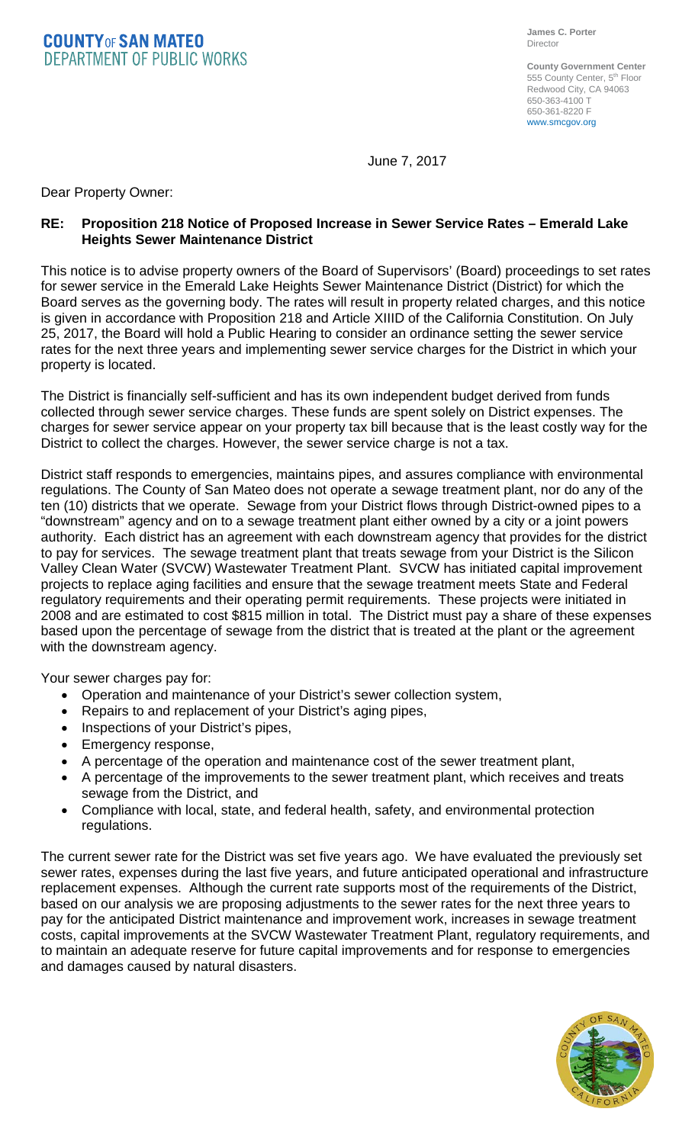**COUNTYOF SAN MATEO DEPARTMENT OF PUBLIC WORKS** 

**County Government Center** 555 County Center, 5<sup>th</sup> Floor Redwood City, CA 94063 650-363-4100 T 650-361-8220 F www.smcgov.org

June 7, 2017

Dear Property Owner:

## **RE: Proposition 218 Notice of Proposed Increase in Sewer Service Rates – Emerald Lake Heights Sewer Maintenance District**

This notice is to advise property owners of the Board of Supervisors' (Board) proceedings to set rates for sewer service in the Emerald Lake Heights Sewer Maintenance District (District) for which the Board serves as the governing body. The rates will result in property related charges, and this notice is given in accordance with Proposition 218 and Article XIIID of the California Constitution. On July 25, 2017, the Board will hold a Public Hearing to consider an ordinance setting the sewer service rates for the next three years and implementing sewer service charges for the District in which your property is located.

The District is financially self-sufficient and has its own independent budget derived from funds collected through sewer service charges. These funds are spent solely on District expenses. The charges for sewer service appear on your property tax bill because that is the least costly way for the District to collect the charges. However, the sewer service charge is not a tax.

District staff responds to emergencies, maintains pipes, and assures compliance with environmental regulations. The County of San Mateo does not operate a sewage treatment plant, nor do any of the ten (10) districts that we operate. Sewage from your District flows through District-owned pipes to a "downstream" agency and on to a sewage treatment plant either owned by a city or a joint powers authority. Each district has an agreement with each downstream agency that provides for the district to pay for services. The sewage treatment plant that treats sewage from your District is the Silicon Valley Clean Water (SVCW) Wastewater Treatment Plant. SVCW has initiated capital improvement projects to replace aging facilities and ensure that the sewage treatment meets State and Federal regulatory requirements and their operating permit requirements. These projects were initiated in 2008 and are estimated to cost \$815 million in total. The District must pay a share of these expenses based upon the percentage of sewage from the district that is treated at the plant or the agreement with the downstream agency.

Your sewer charges pay for:

- Operation and maintenance of your District's sewer collection system,
- Repairs to and replacement of your District's aging pipes,
- Inspections of your District's pipes,
- Emergency response,
- A percentage of the operation and maintenance cost of the sewer treatment plant,
- A percentage of the improvements to the sewer treatment plant, which receives and treats sewage from the District, and
- Compliance with local, state, and federal health, safety, and environmental protection regulations.

The current sewer rate for the District was set five years ago. We have evaluated the previously set sewer rates, expenses during the last five years, and future anticipated operational and infrastructure replacement expenses. Although the current rate supports most of the requirements of the District, based on our analysis we are proposing adjustments to the sewer rates for the next three years to pay for the anticipated District maintenance and improvement work, increases in sewage treatment costs, capital improvements at the SVCW Wastewater Treatment Plant, regulatory requirements, and to maintain an adequate reserve for future capital improvements and for response to emergencies and damages caused by natural disasters.